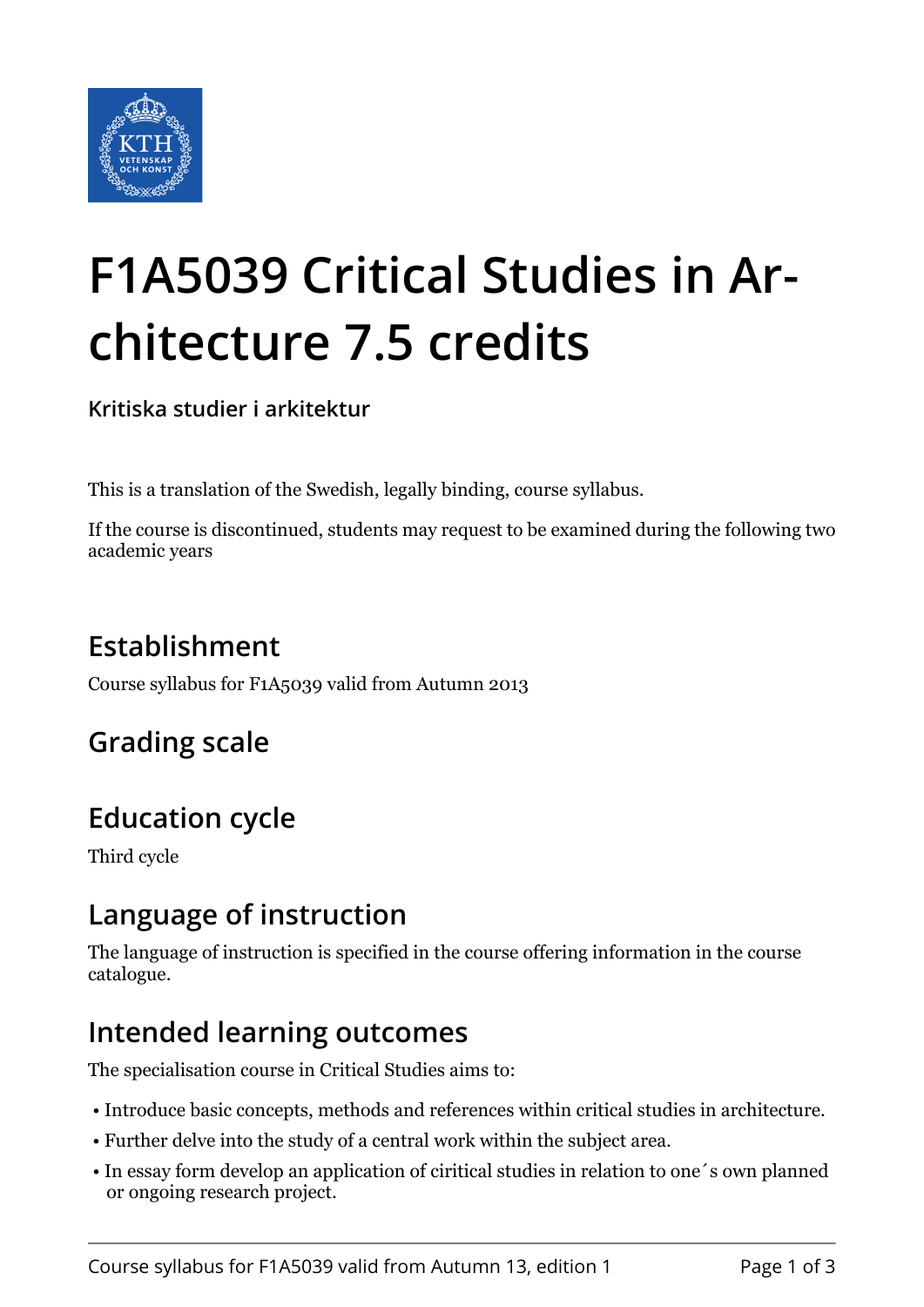

# **F1A5039 Critical Studies in Architecture 7.5 credits**

**Kritiska studier i arkitektur**

This is a translation of the Swedish, legally binding, course syllabus.

If the course is discontinued, students may request to be examined during the following two academic years

# **Establishment**

Course syllabus for F1A5039 valid from Autumn 2013

# **Grading scale**

#### **Education cycle**

Third cycle

#### **Language of instruction**

The language of instruction is specified in the course offering information in the course catalogue.

#### **Intended learning outcomes**

The specialisation course in Critical Studies aims to:

- Introduce basic concepts, methods and references within critical studies in architecture.
- Further delve into the study of a central work within the subject area.
- In essay form develop an application of ciritical studies in relation to one´s own planned or ongoing research project.